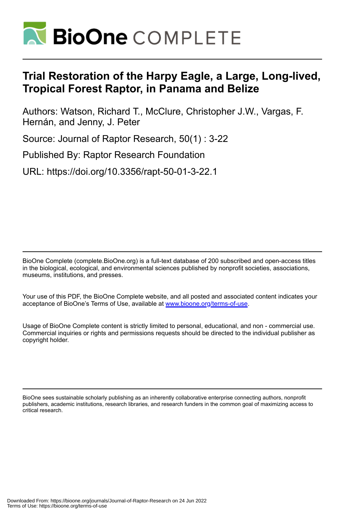

# **Trial Restoration of the Harpy Eagle, a Large, Long-lived, Tropical Forest Raptor, in Panama and Belize**

Authors: Watson, Richard T., McClure, Christopher J.W., Vargas, F. Hernán, and Jenny, J. Peter

Source: Journal of Raptor Research, 50(1) : 3-22

Published By: Raptor Research Foundation

URL: https://doi.org/10.3356/rapt-50-01-3-22.1

BioOne Complete (complete.BioOne.org) is a full-text database of 200 subscribed and open-access titles in the biological, ecological, and environmental sciences published by nonprofit societies, associations, museums, institutions, and presses.

Your use of this PDF, the BioOne Complete website, and all posted and associated content indicates your acceptance of BioOne's Terms of Use, available at www.bioone.org/terms-of-use.

Usage of BioOne Complete content is strictly limited to personal, educational, and non - commercial use. Commercial inquiries or rights and permissions requests should be directed to the individual publisher as copyright holder.

BioOne sees sustainable scholarly publishing as an inherently collaborative enterprise connecting authors, nonprofit publishers, academic institutions, research libraries, and research funders in the common goal of maximizing access to critical research.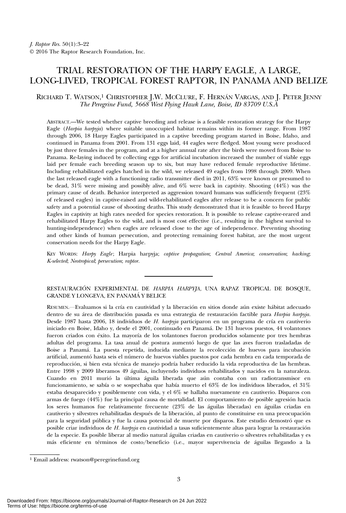## TRIAL RESTORATION OF THE HARPY EAGLE, A LARGE, LONG-LIVED, TROPICAL FOREST RAPTOR, IN PANAMA AND BELIZE

### RICHARD T. WATSON, <sup>1</sup> CHRISTOPHER J.W. MCCLURE, F. HERNÁN VARGAS, AND J. PETER JENNY The Peregrine Fund, 5668 West Flying Hawk Lane, Boise, ID 83709 U.S.A

ABSTRACT.—We tested whether captive breeding and release is a feasible restoration strategy for the Harpy Eagle (Harpia harpyja) where suitable unoccupied habitat remains within its former range. From 1987 through 2006, 18 Harpy Eagles participated in a captive breeding program started in Boise, Idaho, and continued in Panama from 2001. From 131 eggs laid, 44 eagles were fledged. Most young were produced by just three females in the program, and at a higher annual rate after the birds were moved from Boise to Panama. Re-laying induced by collecting eggs for artificial incubation increased the number of viable eggs laid per female each breeding season up to six, but may have reduced female reproductive lifetime. Including rehabilitated eagles hatched in the wild, we released 49 eagles from 1998 through 2009. When the last released eagle with a functioning radio transmitter died in 2011, 63% were known or presumed to be dead, 31% were missing and possibly alive, and 6% were back in captivity. Shooting (44%) was the primary cause of death. Behavior interpreted as aggression toward humans was sufficiently frequent (23% of released eagles) in captive-raised and wild-rehabilitated eagles after release to be a concern for public safety and a potential cause of shooting deaths. This study demonstrated that it is feasible to breed Harpy Eagles in captivity at high rates needed for species restoration. It is possible to release captive-reared and rehabilitated Harpy Eagles to the wild, and is most cost effective (i.e., resulting in the highest survival to hunting-independence) when eagles are released close to the age of independence. Preventing shooting and other kinds of human persecution, and protecting remaining forest habitat, are the most urgent conservation needs for the Harpy Eagle.

KEY WORDS: Harpy Eagle; Harpia harpyja; captive propagation; Central America; conservation; hacking; K-selected; Neotropical; persecution; raptor.

RESTAURACIÓN EXPERIMENTAL DE HARPIA HARPYJA, UNA RAPAZ TROPICAL DE BOSQUE, GRANDE Y LONGEVA, EN PANAMÁ Y BELICE

RESUMEN.—Evaluamos si la cría en cautividad y la liberación en sitios donde aún existe hábitat adecuado dentro de su área de distribución pasada es una estrategia de restauración factible para Harpia harpyja. Desde 1987 hasta 2006, 18 individuos de H. harpyja participaron en un programa de cría en cautiverio iniciado en Boise, Idaho y, desde el 2001, continuado en Panamá. De 131 huevos puestos, 44 volantones fueron criados con éxito. La mayoría de los volantones fueron producidos solamente por tres hembras adultas del programa. La tasa anual de postura aumentó luego de que las aves fueron trasladadas de Boise a Panamá. La puesta repetida, inducida mediante la recolección de huevos para incubación artificial, aumentó hasta seis el número de huevos viables puestos por cada hembra en cada temporada de reproducción, si bien esta técnica de manejo podría haber reducido la vida reproductiva de las hembras. Entre 1998 y 2009 liberamos 49 águilas, incluyendo individuos rehabilitados y nacidos en la naturaleza. Cuando en 2011 murió la última águila liberada que aún contaba con un radiotransmisor en funcionamiento, se sabía o se sospechaba que había muerto el 63% de los individuos liberados, el 31% estaba desaparecido y posiblemente con vida, y el 6% se hallaba nuevamente en cautiverio. Disparos con armas de fuego (44%) fue la principal causa de mortalidad. El comportamiento de posible agresión hacia los seres humanos fue relativamente frecuente (23% de las águilas liberadas) en águilas criadas en cautiverio y silvestres rehabilitadas después de la liberación, al punto de constituirse en una preocupación para la seguridad pública y fue la causa potencial de muerte por disparos. Este estudio demostró que es posible criar individuos de H. harpyja en cautividad a tasas suficientemente altas para lograr la restauración de la especie. Es posible liberar al medio natural águilas criadas en cautiverio o silvestres rehabilitadas y es más eficiente en términos de costo/beneficio (i.e., mayor supervivencia de águilas llegando a la

<sup>1</sup> Email address: rwatson@peregrinefund.org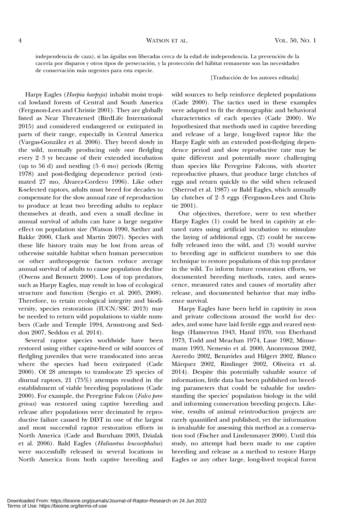independencia de caza), si las águilas son liberadas cerca de la edad de independencia. La prevención de la cacería por disparos y otros tipos de persecución, y la protección del hábitat remanente son las necesidades de conservación más urgentes para esta especie.

#### [Traducción de los autores editada]

Harpy Eagles (Harpia harpyja) inhabit moist tropical lowland forests of Central and South America (Ferguson-Lees and Christie 2001). They are globally listed as Near Threatened (BirdLife International 2015) and considered endangered or extirpated in parts of their range, especially in Central America (Vargas-González et al. 2006). They breed slowly in the wild, normally producing only one fledgling every 2–3 yr because of their extended incubation (up to 56 d) and nestling (5–6 mo) periods (Rettig 1978) and post-fledging dependence period (estimated 27 mo, Álvarez-Cordero 1996). Like other K-selected raptors, adults must breed for decades to compensate for the slow annual rate of reproduction to produce at least two breeding adults to replace themselves at death, and even a small decline in annual survival of adults can have a large negative effect on population size (Watson 1990, Sæther and Bakke 2000, Clark and Martin 2007). Species with these life history traits may be lost from areas of otherwise suitable habitat when human persecution or other anthropogenic factors reduce average annual survival of adults to cause population decline (Owens and Bennett 2000). Loss of top predators, such as Harpy Eagles, may result in loss of ecological structure and function (Sergio et al. 2005, 2008). Therefore, to retain ecological integrity and biodiversity, species restoration (IUCN/SSC 2013) may be needed to return wild populations to viable numbers (Cade and Temple 1994, Armstrong and Seddon 2007, Seddon et al. 2014).

Several raptor species worldwide have been restored using either captive-bred or wild sources of fledgling juveniles that were translocated into areas where the species had been extirpated (Cade 2000). Of 28 attempts to translocate 25 species of diurnal raptors, 21 (75%) attempts resulted in the establishment of viable breeding populations (Cade 2000). For example, the Peregrine Falcon (Falco peregrinus) was restored using captive breeding and release after populations were decimated by reproductive failure caused by DDT in one of the largest and most successful raptor restoration efforts in North America (Cade and Burnham 2003, Dzialak et al. 2006). Bald Eagles (Haliaeetus leucocephalus) were successfully released in several locations in North America from both captive breeding and wild sources to help reinforce depleted populations (Cade 2000). The tactics used in these examples were adapted to fit the demographic and behavioral characteristics of each species (Cade 2000). We hypothesized that methods used in captive breeding and release of a large, long-lived raptor like the Harpy Eagle with an extended post-fledging dependence period and slow reproductive rate may be quite different and potentially more challenging than species like Peregrine Falcons, with shorter reproductive phases, that produce large clutches of eggs and return quickly to the wild when released (Sherrod et al. 1987) or Bald Eagles, which annually lay clutches of 2–3 eggs (Ferguson-Lees and Christie 2001).

Our objectives, therefore, were to test whether Harpy Eagles (1) could be bred in captivity at elevated rates using artificial incubation to stimulate the laying of additional eggs, (2) could be successfully released into the wild, and (3) would survive to breeding age in sufficient numbers to use this technique to restore populations of this top predator in the wild. To inform future restoration efforts, we documented breeding methods, rates, and senescence, measured rates and causes of mortality after release, and documented behavior that may influence survival.

Harpy Eagles have been held in captivity in zoos and private collections around the world for decades, and some have laid fertile eggs and reared nestlings (Hamerton 1943, Hanif 1970, von Eberhand 1973, Todd and Meachan 1974, Laue 1982, Minnemann 1993, Nemesio et al. 2000, Anonymous 2002, Azeredo 2002, Benavides and Hilgert 2002, Blanco Márquez 2002, Rimlinger 2002, Oliveira et al. 2014). Despite this potentially valuable source of information, little data has been published on breeding parameters that could be valuable for understanding the species' population biology in the wild and informing conservation breeding projects. Likewise, results of animal reintroduction projects are rarely quantified and published, yet the information is invaluable for assessing this method as a conservation tool (Fischer and Lindenmayer 2000). Until this study, no attempt had been made to use captive breeding and release as a method to restore Harpy Eagles or any other large, long-lived tropical forest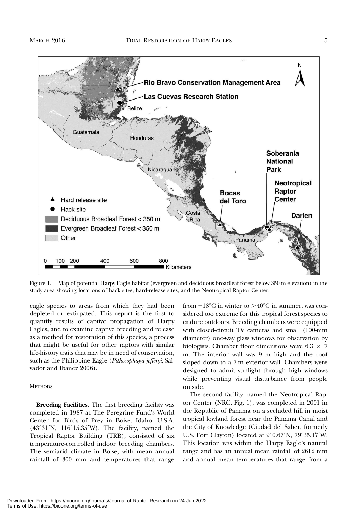

Figure 1. Map of potential Harpy Eagle habitat (evergreen and deciduous broadleaf forest below 350 m elevation) in the study area showing locations of hack sites, hard-release sites, and the Neotropical Raptor Center.

eagle species to areas from which they had been depleted or extirpated. This report is the first to quantify results of captive propagation of Harpy Eagles, and to examine captive breeding and release as a method for restoration of this species, a process that might be useful for other raptors with similar life-history traits that may be in need of conservation, such as the Philippine Eagle (Pithecophaga jefferyi; Salvador and Ibanez 2006).

#### **METHODS**

Breeding Facilities. The first breeding facility was completed in 1987 at The Peregrine Fund's World Center for Birds of Prey in Boise, Idaho, U.S.A.  $(43°31'N, 116°15.35'W)$ . The facility, named the Tropical Raptor Building (TRB), consisted of six temperature-controlled indoor breeding chambers. The semiarid climate in Boise, with mean annual rainfall of 300 mm and temperatures that range sidered too extreme for this tropical forest species to endure outdoors. Breeding chambers were equipped with closed-circuit TV cameras and small (100-mm diameter) one-way glass windows for observation by biologists. Chamber floor dimensions were 6.3  $\times$  7 m. The interior wall was 9 m high and the roof sloped down to a 7-m exterior wall. Chambers were designed to admit sunlight through high windows while preventing visual disturbance from people outside.

The second facility, named the Neotropical Raptor Center (NRC, Fig. 1), was completed in 2001 in the Republic of Panama on a secluded hill in moist tropical lowland forest near the Panama Canal and the City of Knowledge (Ciudad del Saber, formerly U.S. Fort Clayton) located at  $9^{\circ}0.67'N$ ,  $79^{\circ}35.17'W$ . This location was within the Harpy Eagle's natural range and has an annual mean rainfall of 2612 mm and annual mean temperatures that range from a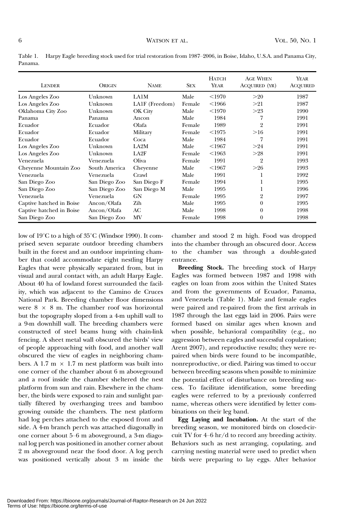Table 1. Harpy Eagle breeding stock used for trial restoration from 1987–2006, in Boise, Idaho, U.S.A. and Panama City, Panama.

| <b>LENDER</b>            | <b>ORIGIN</b> | <b>NAME</b>       | <b>SEX</b> | <b>HATCH</b><br>YEAR | <b>AGE WHEN</b><br><b>ACQUIRED</b> (YR) | YEAR<br><b>ACQUIRED</b> |
|--------------------------|---------------|-------------------|------------|----------------------|-----------------------------------------|-------------------------|
| Los Angeles Zoo          | Unknown       | <b>LA1M</b>       | Male       | $<$ 1970             | >20                                     | 1987                    |
| Los Angeles Zoo          | Unknown       | LA1F (Freedom)    | Female     | $<$ 1966             | >21                                     | 1987                    |
| Oklahoma City Zoo        | Unknown       | OK City           | Male       | $<$ 1970             | >23                                     | 1990                    |
| Panama                   | Panama        | Ancon             | Male       | 1984                 | 7                                       | 1991                    |
| Ecuador                  | Ecuador       | Olafa             | Female     | 1989                 | $\overline{2}$                          | 1991                    |
| Ecuador                  | Ecuador       | Military          | Female     | $<$ 1975             | >16                                     | 1991                    |
| Ecuador                  | Ecuador       | Coca              | Male       | 1984                 | 7                                       | 1991                    |
| Los Angeles Zoo          | Unknown       | LA2M              | Male       | $<$ 1967             | >24                                     | 1991                    |
| Los Angeles Zoo          | Unknown       | LA <sub>2</sub> F | Female     | $<$ 1963             | >28                                     | 1991                    |
| Venezuela                | Venezuela     | Oliva             | Female     | 1991                 | 2                                       | 1993                    |
| Cheyenne Mountain Zoo    | South America | Cheyenne          | Male       | $<$ 1967             | >26                                     | 1993                    |
| Venezuela                | Venezuela     | Crawl             | Male       | 1991                 | 1                                       | 1992                    |
| San Diego Zoo            | San Diego Zoo | San Diego F       | Female     | 1994                 | 1                                       | 1995                    |
| San Diego Zoo            | San Diego Zoo | San Diego M       | Male       | 1995                 | 1                                       | 1996                    |
| Venezuela                | Venezuela     | <b>GN</b>         | Female     | 1995                 | 2                                       | 1997                    |
| Captive hatched in Boise | Ancon/Olafa   | Zih               | Male       | 1995                 | $\Omega$                                | 1995                    |
| Captive hatched in Boise | Ancon/Olafa   | AC                | Male       | 1998                 | $\Omega$                                | 1998                    |
| San Diego Zoo            | San Diego Zoo | MV                | Female     | 1998                 | $\mathbf{0}$                            | 1998                    |

low of  $19^{\circ}$ C to a high of  $35^{\circ}$ C (Windsor 1990). It comprised seven separate outdoor breeding chambers built in the forest and an outdoor imprinting chamber that could accommodate eight nestling Harpy Eagles that were physically separated from, but in visual and aural contact with, an adult Harpy Eagle. About 40 ha of lowland forest surrounded the facility, which was adjacent to the Camino de Cruces National Park. Breeding chamber floor dimensions were  $8 \times 8$  m. The chamber roof was horizontal but the topography sloped from a 4-m uphill wall to a 9-m downhill wall. The breeding chambers were constructed of steel beams hung with chain-link fencing. A sheet metal wall obscured the birds' view of people approaching with food, and another wall obscured the view of eagles in neighboring chambers. A 1.7 m  $\times$  1.7 m nest platform was built into one corner of the chamber about 6 m aboveground and a roof inside the chamber sheltered the nest platform from sun and rain. Elsewhere in the chamber, the birds were exposed to rain and sunlight partially filtered by overhanging trees and bamboo growing outside the chambers. The nest platform had log perches attached to the exposed front and side. A 4-m branch perch was attached diagonally in one corner about 5–6 m aboveground, a 3-m diagonal log perch was positioned in another corner about 2 m aboveground near the food door. A log perch was positioned vertically about 3 m inside the

chamber and stood 2 m high. Food was dropped into the chamber through an obscured door. Access to the chamber was through a double-gated entrance.

Breeding Stock. The breeding stock of Harpy Eagles was formed between 1987 and 1998 with eagles on loan from zoos within the United States and from the governments of Ecuador, Panama, and Venezuela (Table 1). Male and female eagles were paired and re-paired from the first arrivals in 1987 through the last eggs laid in 2006. Pairs were formed based on similar ages when known and when possible, behavioral compatibility (e.g., no aggression between eagles and successful copulation; Arent 2007), and reproductive results; they were repaired when birds were found to be incompatible, nonreproductive, or died. Pairing was timed to occur between breeding seasons when possible to minimize the potential effect of disturbance on breeding success. To facilitate identification, some breeding eagles were referred to by a previously conferred name, whereas others were identified by letter combinations on their leg band.

Egg Laying and Incubation. At the start of the breeding season, we monitored birds on closed-circuit TV for 4–6 hr/d to record any breeding activity. Behaviors such as nest arranging, copulating, and carrying nesting material were used to predict when birds were preparing to lay eggs. After behavior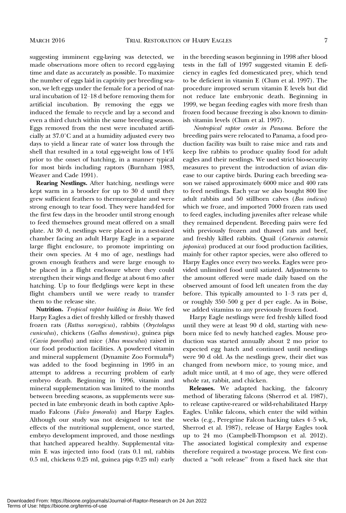suggesting imminent egg-laying was detected, we made observations more often to record egg-laying time and date as accurately as possible. To maximize the number of eggs laid in captivity per breeding season, we left eggs under the female for a period of natural incubation of 12–18 d before removing them for artificial incubation. By removing the eggs we induced the female to recycle and lay a second and even a third clutch within the same breeding season. Eggs removed from the nest were incubated artificially at  $37.0^{\circ}$ C and at a humidity adjusted every two days to yield a linear rate of water loss through the shell that resulted in a total egg-weight loss of 14% prior to the onset of hatching, in a manner typical for most birds including raptors (Burnham 1983, Weaver and Cade 1991).

Rearing Nestlings. After hatching, nestlings were kept warm in a brooder for up to 30 d until they grew sufficient feathers to thermoregulate and were strong enough to tear food. They were hand-fed for the first few days in the brooder until strong enough to feed themselves ground meat offered on a small plate. At 30 d, nestlings were placed in a nest-sized chamber facing an adult Harpy Eagle in a separate large flight enclosure, to promote imprinting on their own species. At 4 mo of age, nestlings had grown enough feathers and were large enough to be placed in a flight enclosure where they could strengthen their wings and fledge at about 6 mo after hatching. Up to four fledglings were kept in these flight chambers until we were ready to transfer them to the release site.

Nutrition. Tropical raptor building in Boise. We fed Harpy Eagles a diet of freshly killed or freshly thawed frozen rats (Rattus norvegicus), rabbits (Oryctolagus cuniculus), chickens (Gallus domesticus), guinea pigs (Cavia porcellus) and mice (Mus musculus) raised in our food production facilities. A powdered vitamin and mineral supplement (Dynamite Zoo Formula<sup>®</sup>) was added to the food beginning in 1995 in an attempt to address a recurring problem of early embryo death. Beginning in 1996, vitamin and mineral supplementation was limited to the months between breeding seasons, as supplements were suspected in late embryonic death in both captive Aplomado Falcons (Falco femoralis) and Harpy Eagles. Although our study was not designed to test the effects of the nutritional supplement, once started, embryo development improved, and those nestlings that hatched appeared healthy. Supplemental vitamin E was injected into food (rats 0.1 ml, rabbits 0.5 ml, chickens 0.25 ml, guinea pigs 0.25 ml) early in the breeding season beginning in 1998 after blood tests in the fall of 1997 suggested vitamin E deficiency in eagles fed domesticated prey, which tend to be deficient in vitamin E (Clum et al. 1997). The procedure improved serum vitamin E levels but did not reduce late embryonic death. Beginning in 1999, we began feeding eagles with more fresh than frozen food because freezing is also known to diminish vitamin levels (Clum et al. 1997).

Neotropical raptor center in Panama. Before the breeding pairs were relocated to Panama, a food production facility was built to raise mice and rats and keep live rabbits to produce quality food for adult eagles and their nestlings. We used strict bio-security measures to prevent the introduction of avian disease to our captive birds. During each breeding season we raised approximately 6000 mice and 400 rats to feed nestlings. Each year we also bought 800 live adult rabbits and 50 stillborn calves (Bos indicus) which we froze, and imported 7000 frozen rats used to feed eagles, including juveniles after release while they remained dependent. Breeding pairs were fed with previously frozen and thawed rats and beef, and freshly killed rabbits. Quail (Coturnix coturnix japonica) produced at our food production facilities, mainly for other raptor species, were also offered to Harpy Eagles once every two weeks. Eagles were provided unlimited food until satiated. Adjustments to the amount offered were made daily based on the observed amount of food left uneaten from the day before. This typically amounted to 1–3 rats per d, or roughly 350–500 g per d per eagle. As in Boise, we added vitamins to any previously frozen food.

Harpy Eagle nestlings were fed freshly killed food until they were at least 90 d old, starting with newborn mice fed to newly hatched eagles. Mouse production was started annually about 2 mo prior to expected egg hatch and continued until nestlings were 90 d old. As the nestlings grew, their diet was changed from newborn mice, to young mice, and adult mice until, at 4 mo of age, they were offered whole rat, rabbit, and chicken.

Releases. We adapted hacking, the falconry method of liberating falcons (Sherrod et al. 1987), to release captive-reared or wild-rehabilitated Harpy Eagles. Unlike falcons, which enter the wild within weeks (e.g., Peregrine Falcon hacking takes 4–5 wk, Sherrod et al. 1987), release of Harpy Eagles took up to 24 mo (Campbell-Thompson et al. 2012). The associated logistical complexity and expense therefore required a two-stage process. We first conducted a "soft release" from a fixed hack site that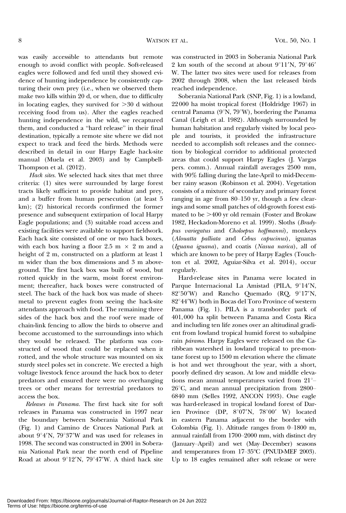was easily accessible to attendants but remote enough to avoid conflict with people. Soft-released eagles were followed and fed until they showed evidence of hunting independence by consistently capturing their own prey (i.e., when we observed them make two kills within 20 d, or when, due to difficulty in locating eagles, they survived for  $>30$  d without receiving food from us). After the eagles reached hunting independence in the wild, we recaptured them, and conducted a "hard release" in their final destination, typically a remote site where we did not expect to track and feed the birds. Methods were described in detail in our Harpy Eagle hack-site manual (Muela et al. 2003) and by Campbell-Thompson et al. (2012).

Hack sites. We selected hack sites that met three criteria: (1) sites were surrounded by large forest tracts likely sufficient to provide habitat and prey, and a buffer from human persecution (at least 5 km); (2) historical records confirmed the former presence and subsequent extirpation of local Harpy Eagle populations; and (3) suitable road access and existing facilities were available to support fieldwork. Each hack site consisted of one or two hack boxes, with each box having a floor 2.5 m  $\times$  2 m and a height of 2 m, constructed on a platform at least 1 m wider than the box dimensions and 3 m aboveground. The first hack box was built of wood, but rotted quickly in the warm, moist forest environment; thereafter, hack boxes were constructed of steel. The back of the hack box was made of sheetmetal to prevent eagles from seeing the hack-site attendants approach with food. The remaining three sides of the hack box and the roof were made of chain-link fencing to allow the birds to observe and become accustomed to the surroundings into which they would be released. The platform was constructed of wood that could be replaced when it rotted, and the whole structure was mounted on six sturdy steel poles set in concrete. We erected a high voltage livestock fence around the hack box to deter predators and ensured there were no overhanging trees or other means for terrestrial predators to access the box.

Releases in Panama. The first hack site for soft releases in Panama was constructed in 1997 near the boundary between Soberania National Park (Fig. 1) and Camino de Cruces National Park at about  $9^{\circ}4'$ N,  $79^{\circ}37'$ W and was used for releases in 1998. The second was constructed in 2001 in Soberania National Park near the north end of Pipeline Road at about  $9^{\circ}12'N$ ,  $79^{\circ}47'W$ . A third hack site

was constructed in 2003 in Soberania National Park 2 km south of the second at about  $9^{\circ}11'$ N,  $79^{\circ}46'$ W. The latter two sites were used for releases from 2002 through 2008, when the last released birds reached independence.

Soberania National Park (SNP, Fig. 1) is a lowland, 22 000 ha moist tropical forest (Holdridge 1967) in central Panama ( $9^\circ N$ ,  $79^\circ W$ ), bordering the Panama Canal (Leigh et al. 1982). Although surrounded by human habitation and regularly visited by local people and tourists, it provided the infrastructure needed to accomplish soft releases and the connection by biological corridor to additional protected areas that could support Harpy Eagles (J. Vargas pers. comm.). Annual rainfall averages 2500 mm, with 90% falling during the late-April to mid-December rainy season (Robinson et al. 2004). Vegetation consists of a mixture of secondary and primary forest ranging in age from 80–150 yr, though a few clearings and some small patches of old-growth forest estimated to be  $>400$  yr old remain (Foster and Brokaw 1982, Heckadon-Moreno et al. 1999). Sloths (Bradypus variegatus and Choloepus hoffmanni), monkeys (Alouatta palliata and Cebus capucinus), iguanas (Iguana iguana), and coatis (Nasua narica), all of which are known to be prey of Harpy Eagles (Touchton et al. 2002, Aguiar-Silva et al. 2014), occur regularly.

Hard-release sites in Panama were located in Parque Internacional La Amistad (PILA, 9°14'N,  $82^{\circ}50'$ W) and Rancho Quemado (RQ,  $9^{\circ}17'$ N, 82°44'W) both in Bocas del Toro Province of western Panama (Fig. 1). PILA is a transborder park of 401, 000 ha split between Panama and Costa Rica and including ten life zones over an altitudinal gradient from lowland tropical humid forest to subalpine rain páramo. Harpy Eagles were released on the Caribbean watershed in lowland tropical to pre-montane forest up to 1500 m elevation where the climate is hot and wet throughout the year, with a short, poorly defined dry season. At low and middle elevations mean annual temperatures varied from  $21^{\circ}$  $26^{\circ}$ C, and mean annual precipitation from  $2800-$ 6840 mm (Selles 1992, ANCON 1993). One eagle was hard-released in tropical lowland forest of Darien Province (DP,  $8^{\circ}07'$ N,  $78^{\circ}00'$  W) located in eastern Panama adjacent to the border with Colombia (Fig. 1). Altitude ranges from 0–1800 m, annual rainfall from 1700–2000 mm, with distinct dry (January–April) and wet (May–December) seasons and temperatures from 17–35ºC (PNUD-MEF 2003). Up to 18 eagles remained after soft release or were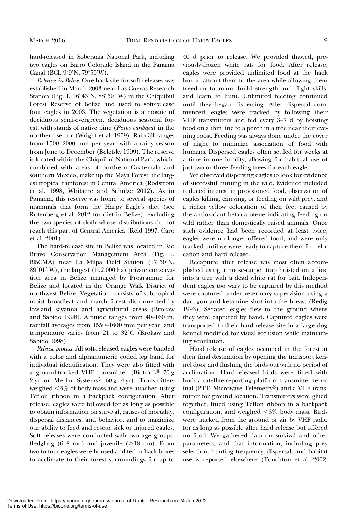hard-released in Soberania National Park, including two eagles on Barro Colorado Island in the Panama Canal (BCI,  $9^{\circ}9'N$ ,  $79^{\circ}50'W$ ).

Releases in Belize. One hack site for soft releases was established in March 2003 near Las Cuevas Research Station (Fig. 1,  $16^{\circ}43'N$ ,  $88^{\circ}59'$  W) in the Chiquibul Forest Reserve of Belize and used to soft-release four eagles in 2003. The vegetation is a mosaic of deciduous semi-evergreen, deciduous seasonal forest, with stands of native pine (Pinus caribaea) in the northern sector (Wright et al. 1959). Rainfall ranges from 1500–2000 mm per year, with a rainy season from June to December (Beletsky 1999). The reserve is located within the Chiquibul National Park, which, combined with areas of northern Guatemala and southern Mexico, make up the Maya Forest, the larg‐ est tropical rainforest in Central America (Rodstrom et al. 1998, Whitacre and Schulze 2012). As in Panama, this reserve was home to several species of mammals that form the Harpy Eagle's diet (see Rotenberg et al. 2012 for diet in Belize), excluding the two species of sloth whose distributions do not reach this part of Central America (Reid 1997, Caro et al. 2001).

The hard-release site in Belize was located in Rio Bravo Conservation Management Area (Fig. 1, RBCMA) near La Milpa Field Station  $(17°50'N,$  $89^{\circ}01'$  W), the largest (102,000 ha) private conservation area in Belize managed by Programme for Belize and located in the Orange Walk District of northwest Belize. Vegetation consists of subtropical moist broadleaf and marsh forest disconnected by lowland savanna and agricultural areas (Brokaw and Sabido 1998). Altitude ranges from 40–160 m, rainfall averages from 1550–1600 mm per year, and temperature varies from 21 to  $32^{\circ}$ C (Brokaw and Sabido 1998).

Release process. All soft-released eagles were banded with a color and alphanumeric coded leg band for individual identification. They were also fitted with a ground-tracked VHF transmitter (Biotrack®  $70-g$  $2$ -yr or Merlin Systems® 60-g 4-yr). Transmitters weighed  $\leq$ 3% of body mass and were attached using Teflon ribbon in a backpack configuration. After release, eagles were followed for as long as possible to obtain information on survival, causes of mortality, dispersal distances, and behavior, and to maximize our ability to feed and rescue sick or injured eagles. Soft releases were conducted with two age groups, fledgling  $(6-8 \text{ mo})$  and juvenile  $(>18 \text{ mo})$ . From two to four eagles were housed and fed in hack boxes to acclimate to their forest surroundings for up to

40 d prior to release. We provided thawed, previously‐frozen white rats for food. After release, eagles were provided unlimited food at the hack box to attract them to the area while allowing them freedom to roam, build strength and flight skills, and learn to hunt. Unlimited feeding continued until they began dispersing. After dispersal commenced, eagles were tracked by following their VHF transmitters and fed every 3–7 d by hoisting food on a thin line to a perch in a tree near their evening roost. Feeding was always done under the cover of night to minimize association of food with humans. Dispersed eagles often settled for weeks at a time in one locality, allowing for habitual use of just two or three feeding trees for each eagle.

We observed dispersing eagles to look for evidence of successful hunting in the wild. Evidence included reduced interest in provisioned food, observation of eagles killing, carrying, or feeding on wild prey, and a richer yellow coloration of their feet caused by the antioxidant beta-carotene indicating feeding on wild rather than domestically raised animals. Once such evidence had been recorded at least twice, eagles were no longer offered food, and were only tracked until we were ready to capture them for relocation and hard release.

Recapture after release was most often accomplished using a noose-carpet trap hoisted on a line into a tree with a dead white rat for bait. Independent eagles too wary to be captured by this method were captured under veterinary supervision using a dart gun and ketamine shot into the breast (Redig 1993). Sedated eagles flew to the ground where they were captured by hand. Captured eagles were transported to their hard-release site in a large dog kennel modified for visual seclusion while maintaining ventilation.

Hard release of eagles occurred in the forest at their final destination by opening the transport kennel door and flushing the birds out with no period of acclimation. Hard-released birds were fitted with both a satellite-reporting platform transmitter terminal (PTT, Microwave Telemetry®) and a VHF transmitter for ground location. Transmitters were glued together, fitted using Teflon ribbon in a backpack configuration, and weighed  $\langle 3\%$  body mass. Birds were tracked from the ground or air by VHF radio for as long as possible after hard release but offered no food. We gathered data on survival and other parameters, and that information, including prey selection, hunting frequency, dispersal, and habitat use is reported elsewhere (Touchton et al. 2002,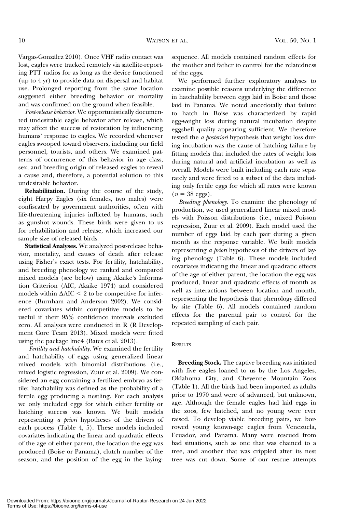Vargas-González 2010). Once VHF radio contact was lost, eagles were tracked remotely via satellite-reporting PTT radios for as long as the device functioned (up to 4 yr) to provide data on dispersal and habitat use. Prolonged reporting from the same location suggested either breeding behavior or mortality and was confirmed on the ground when feasible.

Post-release behavior. We opportunistically documented undesirable eagle behavior after release, which may affect the success of restoration by influencing humans' response to eagles. We recorded whenever eagles swooped toward observers, including our field personnel, tourists, and others. We examined patterns of occurrence of this behavior in age class, sex, and breeding origin of released eagles to reveal a cause and, therefore, a potential solution to this undesirable behavior.

Rehabilitation. During the course of the study, eight Harpy Eagles (six females, two males) were confiscated by government authorities, often with life-threatening injuries inflicted by humans, such as gunshot wounds. These birds were given to us for rehabilitation and release, which increased our sample size of released birds.

Statistical Analyses. We analyzed post-release behavior, mortality, and causes of death after release using Fisher's exact tests. For fertility, hatchability, and breeding phenology we ranked and compared mixed models (see below) using Akaike's Information Criterion (AIC, Akaike 1974) and considered models within  $\Delta AIC < 2$  to be competitive for inference (Burnham and Anderson 2002). We considered covariates within competitive models to be useful if their 95% confidence intervals excluded zero. All analyses were conducted in R (R Development Core Team 2013). Mixed models were fitted using the package lme4 (Bates et al. 2013).

Fertility and hatchability. We examined the fertility and hatchability of eggs using generalized linear mixed models with binomial distributions (i.e., mixed logistic regression, Zuur et al. 2009). We considered an egg containing a fertilized embryo as fertile; hatchability was defined as the probability of a fertile egg producing a nestling. For each analysis we only included eggs for which either fertility or hatching success was known. We built models representing *a priori* hypotheses of the drivers of each process (Table 4, 5). These models included covariates indicating the linear and quadratic effects of the age of either parent, the location the egg was produced (Boise or Panama), clutch number of the season, and the position of the egg in the layingsequence. All models contained random effects for the mother and father to control for the relatedness of the eggs.

We performed further exploratory analyses to examine possible reasons underlying the difference in hatchability between eggs laid in Boise and those laid in Panama. We noted anecdotally that failure to hatch in Boise was characterized by rapid egg-weight loss during natural incubation despite eggshell quality appearing sufficient. We therefore tested the *a posteriori* hypothesis that weight loss during incubation was the cause of hatching failure by fitting models that included the rates of weight loss during natural and artificial incubation as well as overall. Models were built including each rate separately and were fitted to a subset of the data including only fertile eggs for which all rates were known  $(n = 38 \text{ eggs}).$ 

Breeding phenology. To examine the phenology of production, we used generalized linear mixed models with Poisson distributions (i.e., mixed Poisson regression, Zuur et al. 2009). Each model used the number of eggs laid by each pair during a given month as the response variable. We built models representing *a priori* hypotheses of the drivers of laying phenology (Table 6). These models included covariates indicating the linear and quadratic effects of the age of either parent, the location the egg was produced, linear and quadratic effects of month as well as interactions between location and month, representing the hypothesis that phenology differed by site (Table 6). All models contained random effects for the parental pair to control for the repeated sampling of each pair.

#### **RESULTS**

Breeding Stock. The captive breeding was initiated with five eagles loaned to us by the Los Angeles, Oklahoma City, and Cheyenne Mountain Zoos (Table 1). All the birds had been imported as adults prior to 1970 and were of advanced, but unknown, age. Although the female eagles had laid eggs in the zoos, few hatched, and no young were ever raised. To develop viable breeding pairs, we borrowed young known-age eagles from Venezuela, Ecuador, and Panama. Many were rescued from bad situations, such as one that was chained to a tree, and another that was crippled after its nest tree was cut down. Some of our rescue attempts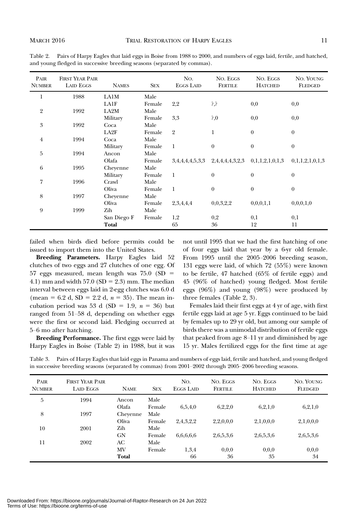| PAIR<br><b>NUMBER</b> | <b>FIRST YEAR PAIR</b><br>LAID EGGS | <b>NAMES</b>      | <b>SEX</b> | No.<br><b>EGGS LAID</b> | NO. EGGS<br><b>FERTILE</b> | NO. EGGS<br><b>HATCHED</b> | NO. YOUNG<br><b>FLEDGED</b> |
|-----------------------|-------------------------------------|-------------------|------------|-------------------------|----------------------------|----------------------------|-----------------------------|
| 1                     | 1988                                | LA1M              | Male       |                         |                            |                            |                             |
|                       |                                     | LA1F              | Female     | 2,2                     | ?,?                        | 0,0                        | 0,0                         |
| 2                     | 1992                                | LA2M              | Male       |                         |                            |                            |                             |
|                       |                                     | Military          | Female     | 3,3                     | .9,0                       | 0,0                        | 0,0                         |
| 3                     | 1992                                | Coca              | Male       |                         |                            |                            |                             |
|                       |                                     | LA <sub>2</sub> F | Female     | $\overline{2}$          | 1                          | $\theta$                   | $\boldsymbol{0}$            |
| $\overline{4}$        | 1994                                | Coca              | Male       |                         |                            |                            |                             |
|                       |                                     | Military          | Female     | 1                       | 0                          | $\boldsymbol{0}$           | $\boldsymbol{0}$            |
| 5                     | 1994                                | Ancon             | Male       |                         |                            |                            |                             |
|                       |                                     | Olafa             | Female     | 3, 4, 4, 4, 4, 5, 3, 3  | 2,4,4,4,4,3,2,3            | 0,1,1,2,1,0,1,3            | 0,1,1,2,1,0,1,3             |
| 6                     | 1995                                | Cheyenne          | Male       |                         |                            |                            |                             |
|                       |                                     | Military          | Female     | 1                       | $\overline{0}$             | $\theta$                   | $\theta$                    |
| 7                     | 1996                                | Crawl             | Male       |                         |                            |                            |                             |
|                       |                                     | Oliva             | Female     | 1                       | 0                          | $\theta$                   | $\boldsymbol{0}$            |
| 8                     | 1997                                | Cheyenne          | Male       |                         |                            |                            |                             |
|                       |                                     | Oliva             | Female     | 2,3,4,4,4               | 0,0,3,2,2                  | 0,0,0,1,1                  | 0,0,0,1,0                   |
| 9                     | 1999                                | Zih               | Male       |                         |                            |                            |                             |
|                       |                                     | San Diego F       | Female     | 1,2                     | 0,2                        | 0,1                        | 0,1                         |
|                       |                                     | Total             |            | 65                      | 36                         | 12                         | 11                          |

Table 2. Pairs of Harpy Eagles that laid eggs in Boise from 1988 to 2000, and numbers of eggs laid, fertile, and hatched, and young fledged in successive breeding seasons (separated by commas).

failed when birds died before permits could be issued to import them into the United States.

Breeding Parameters. Harpy Eagles laid 52 clutches of two eggs and 27 clutches of one egg. Of 57 eggs measured, mean length was  $75.0$  (SD = 4.1) mm and width  $57.0$  (SD = 2.3) mm. The median interval between eggs laid in 2-egg clutches was 6.0 d (mean = 6.2 d, SD = 2.2 d,  $n = 35$ ). The mean incubation period was 53 d (SD = 1.9,  $n = 36$ ) but ranged from 51–58 d, depending on whether eggs were the first or second laid. Fledging occurred at 5–6 mo after hatching.

Breeding Performance. The first eggs were laid by Harpy Eagles in Boise (Table 2) in 1988, but it was not until 1995 that we had the first hatching of one of four eggs laid that year by a 6-yr old female. From 1995 until the 2005–2006 breeding season, 131 eggs were laid, of which 72 (55%) were known to be fertile, 47 hatched (65% of fertile eggs) and 45 (96% of hatched) young fledged. Most fertile eggs (96%) and young (98%) were produced by three females (Table 2, 3).

Females laid their first eggs at 4 yr of age, with first fertile eggs laid at age 5 yr. Eggs continued to be laid by females up to 29 yr old, but among our sample of birds there was a unimodal distribution of fertile eggs that peaked from age 8–11 yr and diminished by age 15 yr. Males fertilized eggs for the first time at age

Table 3. Pairs of Harpy Eagles that laid eggs in Panama and numbers of eggs laid, fertile and hatched, and young fledged in successive breeding seasons (separated by commas) from 2001–2002 through 2005–2006 breeding seasons.

| PAIR<br><b>NUMBER</b> | <b>FIRST YEAR PAIR</b><br>LAID EGGS | <b>NAME</b>       | <b>SEX</b>     | NO.<br><b>EGGS LAID</b> | NO. EGGS<br><b>FERTILE</b> | NO. EGGS<br><b>HATCHED</b> | NO. YOUNG<br><b>FLEDGED</b> |
|-----------------------|-------------------------------------|-------------------|----------------|-------------------------|----------------------------|----------------------------|-----------------------------|
| 5                     | 1994                                | Ancon<br>Olafa    | Male<br>Female | 6,5,4,0                 | 6,2,2,0                    | 6,2,1,0                    | 6,2,1,0                     |
| 8                     | 1997                                | Cheyenne<br>Oliva | Male<br>Female | 2,4,3,2,2               | 2,2,0,0,0                  | 2,1,0,0,0                  | 2,1,0,0,0                   |
| 10                    | 2001                                | Zih.<br>GN        | Male<br>Female | 6,6,6,6,6               | 2,6,5,3,6                  | 2,6,5,3,6                  | 2,6,5,3,6                   |
| 11                    | 2002                                | AC<br>MV          | Male<br>Female | 1,3,4                   | 0.0.0                      | 0.0.0                      | 0,0,0                       |
|                       |                                     | Total             |                | 66                      | 36                         | 35                         | 34                          |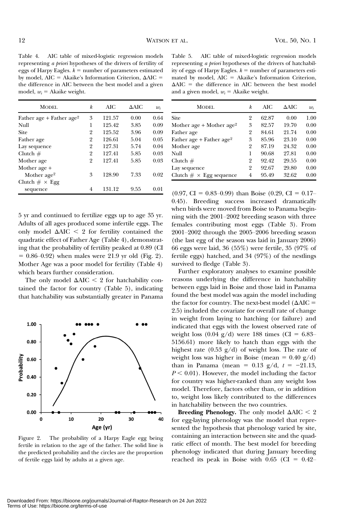Table 4. AIC table of mixed-logistic regression models representing *a priori* hypotheses of the drivers of fertility of eggs of Harpy Eagles.  $k =$  number of parameters estimated by model, AIC = Akaike's Information Criterion, ΔAIC = the difference in AIC between the best model and a given model,  $w_i$  = Akaike weight.

| MODEL.                               | k              | AIC    | $\triangle$ AIC | $w_i$ |
|--------------------------------------|----------------|--------|-----------------|-------|
| Father age + Father age <sup>2</sup> | 3              | 121.57 | 0.00            | 0.64  |
| Null                                 | 1              | 125.42 | 3.85            | 0.09  |
| Site:                                | 2              | 125.52 | 3.96            | 0.09  |
| Father age                           | 2              | 126.61 | 5.04            | 0.05  |
| Lay sequence                         | 2              | 127.31 | 5.74            | 0.04  |
| Clutch $#$                           | 2              | 127.41 | 5.85            | 0.03  |
| Mother age                           | $\overline{2}$ | 127.41 | 5.85            | 0.03  |
| Mother age $+$                       |                |        |                 |       |
| Mother age <sup>2</sup>              | 3              | 128.90 | 7.33            | 0.02  |
| Clutch $\# \times$ Egg               |                |        |                 |       |
| sequence                             | 4              | 131.12 | 9.55            | 0.01  |

5 yr and continued to fertilize eggs up to age 35 yr. Adults of all ages produced some infertile eggs. The only model  $\Delta AIC \leq 2$  for fertility contained the quadratic effect of Father Age (Table 4), demonstrating that the probability of fertility peaked at 0.89 (CI  $= 0.86 - 0.92$ ) when males were 21.9 yr old (Fig. 2). Mother Age was a poor model for fertility (Table 4) which bears further consideration.

The only model  $\Delta AIC \leq 2$  for hatchability contained the factor for country (Table 5), indicating that hatchability was substantially greater in Panama



Figure 2. The probability of a Harpy Eagle egg being fertile in relation to the age of the father. The solid line is the predicted probability and the circles are the proportion of fertile eggs laid by adults at a given age.

| Table 5. AIC table of mixed-logistic regression models               |
|----------------------------------------------------------------------|
| representing <i>a priori</i> hypotheses of the drivers of hatchabil- |
| ity of eggs of Harpy Eagles. $k =$ number of parameters esti-        |
| mated by model, $AIC = Akaike's Information$ . Criterion,            |
| $\Delta AIC$ = the difference in AIC between the best model          |
| and a given model, $w_i$ = Akaike weight.                            |

| <b>MODEL</b>                           | k              | <b>AIC</b> | $\Delta AIC$ | $w_i$ |
|----------------------------------------|----------------|------------|--------------|-------|
| Site                                   | 2              | 62.87      | 0.00         | 1.00  |
| Mother age $+$ Mother age <sup>2</sup> | 3              | 82.57      | 19.70        | 0.00  |
| Father age                             | $\overline{2}$ | 84.61      | 21.74        | 0.00  |
| Father age $+$ Father age <sup>2</sup> | 3              | 85.96      | 23.10        | 0.00  |
| Mother age                             | 2              | 87.19      | 24.32        | 0.00  |
| Null                                   | 1              | 90.68      | 27.81        | 0.00  |
| Clutch $#$                             | 2              | 92.42      | 29.55        | 0.00  |
| Lay sequence                           | $\overline{2}$ | 92.67      | 29.80        | 0.00  |
| Clutch $\# \times$ Egg sequence        | 4              | 95.49      | 32.62        | 0.00  |

 $(0.97, CI = 0.83{\text -}0.99)$  than Boise  $(0.29, CI = 0.17{\text -}$ 0.45). Breeding success increased dramatically when birds were moved from Boise to Panama beginning with the 2001–2002 breeding season with three females contributing most eggs (Table 3). From 2001–2002 through the 2005–2006 breeding season (the last egg of the season was laid in January 2006) 66 eggs were laid, 36 (55%) were fertile, 35 (97% of fertile eggs) hatched, and 34 (97%) of the nestlings survived to fledge (Table 3).

Further exploratory analyses to examine possible reasons underlying the difference in hatchability between eggs laid in Boise and those laid in Panama found the best model was again the model including the factor for country. The next-best model ( $\Delta AIC =$ 2.5) included the covariate for overall rate of change in weight from laying to hatching (or failure) and indicated that eggs with the lowest observed rate of marcated that eggs with the lowest observed rate of<br>weight loss (0.04 g/d) were 188 times (CI = 6.83–<br>5156.61) more likely to hatch than eggs with the<br>highest rate (0.53 g/d) of weight loss. The rate of<br>weight loss was hi 5156.61) more likely to hatch than eggs with the highest rate (0.53  $g/d$ ) of weight loss. The rate of weight loss was higher in Boise (mean =  $0.40$  g/d)  $P < 0.01$ ). However, the model including the factor for country was higher-ranked than any weight loss model. Therefore, factors other than, or in addition to, weight loss likely contributed to the differences in hatchability between the two countries.

Breeding Phenology. The only model  $\Delta AIC < 2$ for egg-laying phenology was the model that represented the hypothesis that phenology varied by site, containing an interaction between site and the quadratic effect of month. The best model for breeding phenology indicated that during January breeding reached its peak in Boise with  $0.65$  (CI =  $0.42-$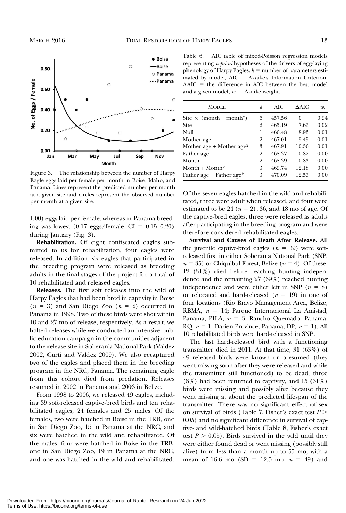

Figure 3. The relationship between the number of Harpy Eagle eggs laid per female per month in Boise, Idaho, and Panama. Lines represent the predicted number per month at a given site and circles represent the observed number per month at a given site.

1.00) eggs laid per female, whereas in Panama breeding was lowest  $(0.17 \text{ eggs/female}, \text{CI} = 0.15{\text -}0.20)$ during January (Fig. 3).

Rehabilitation. Of eight confiscated eagles submitted to us for rehabilitation, four eagles were released. In addition, six eagles that participated in the breeding program were released as breeding adults in the final stages of the project for a total of 10 rehabilitated and released eagles.

Releases. The first soft releases into the wild of Harpy Eagles that had been bred in captivity in Boise  $(n = 3)$  and San Diego Zoo  $(n = 2)$  occurred in Panama in 1998. Two of these birds were shot within 10 and 27 mo of release, respectively. As a result, we halted releases while we conducted an intensive public education campaign in the communities adjacent to the release site in Soberania National Park (Valdez 2002, Curti and Valdez 2009). We also recaptured two of the eagles and placed them in the breeding program in the NRC, Panama. The remaining eagle from this cohort died from predation. Releases resumed in 2002 in Panama and 2003 in Belize.

From 1998 to 2006, we released 49 eagles, including 39 soft-released captive-bred birds and ten rehabilitated eagles, 24 females and 25 males. Of the females, two were hatched in Boise in the TRB, one in San Diego Zoo, 15 in Panama at the NRC, and six were hatched in the wild and rehabilitated. Of the males, four were hatched in Boise in the TRB, one in San Diego Zoo, 19 in Panama at the NRC, and one was hatched in the wild and rehabilitated.

Table 6. AIC table of mixed-Poisson regression models representing a priori hypotheses of the drivers of egg-laying phenology of Harpy Eagles.  $k =$  number of parameters estimated by model,  $AIC = Akaike's Information Criterion,$  $\Delta AIC$  = the difference in AIC between the best model and a given model,  $w_i$  = Akaike weight.

| <b>MODEL</b>                                | k              | AIC    | ∆АІС     | $w_i$ |
|---------------------------------------------|----------------|--------|----------|-------|
| Site $\times$ (month + month <sup>2</sup> ) | 6              | 457.56 | $\theta$ | 0.94  |
| <b>Site</b>                                 | 2              | 465.19 | 7.63     | 0.02  |
| Null                                        | 1              | 466.48 | 8.93     | 0.01  |
| Mother age                                  | 2              | 467.01 | 9.45     | 0.01  |
| Mother age $+$ Mother age <sup>2</sup>      | 3              | 467.91 | 10.36    | 0.01  |
| Father age                                  | $\overline{2}$ | 468.37 | 10.82    | 0.00  |
| Month                                       | $\overline{2}$ | 468.39 | 10.83    | 0.00  |
| Month $+$ Month <sup>2</sup>                | 3              | 469.74 | 12.18    | 0.00  |
| Father age + Father age <sup>2</sup>        | 3              | 470.09 | 12.53    | 0.00  |

Of the seven eagles hatched in the wild and rehabilitated, three were adult when released, and four were estimated to be 24 ( $n = 2$ ), 36, and 48 mo of age. Of the captive-bred eagles, three were released as adults after participating in the breeding program and were therefore considered rehabilitated eagles.

Survival and Causes of Death After Release. All the juvenile captive-bred eagles ( $n = 39$ ) were softreleased first in either Soberania National Park (SNP,  $n = 35$ ) or Chiquibul Forest, Belize ( $n = 4$ ). Of these, 12 (31%) died before reaching hunting independence and the remaining 27 (69%) reached hunting independence and were either left in SNP ( $n = 8$ ) or relocated and hard-released ( $n = 19$ ) in one of four locations (Rio Bravo Management Area, Belize, RBMA,  $n = 14$ ; Parque Internacional La Amistad, Panama, PILA,  $n = 3$ ; Rancho Quemado, Panama, RQ,  $n = 1$ ; Darien Province, Panama, DP,  $n = 1$ ). All 10 rehabilitated birds were hard-released in SNP.

The last hard-released bird with a functioning transmitter died in 2011. At that time, 31 (63%) of 49 released birds were known or presumed (they went missing soon after they were released and while the transmitter still functioned) to be dead, three  $(6%)$  had been returned to captivity, and 15  $(31%)$ birds were missing and possibly alive because they went missing at about the predicted lifespan of the transmitter. There was no significant effect of sex on survival of birds (Table 7, Fisher's exact test  $P$  > 0.05) and no significant difference in survival of captive- and wild-hatched birds (Table 8, Fisher's exact test  $P > 0.05$ . Birds survived in the wild until they were either found dead or went missing (possibly still alive) from less than a month up to 55 mo, with a mean of 16.6 mo (SD = 12.5 mo,  $n = 49$ ) and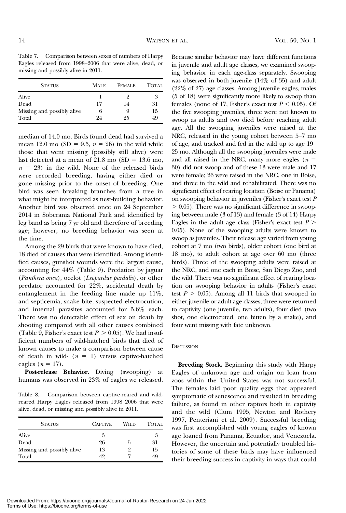Table 7. Comparison between sexes of numbers of Harpy Eagles released from 1998–2006 that were alive, dead, or missing and possibly alive in 2011.

| <b>STATUS</b>              | <b>MALE</b> | <b>FEMALE</b> | TOTAL. |
|----------------------------|-------------|---------------|--------|
| Alive                      |             | 9             | 3      |
| Dead                       | 17          | 14            | 31     |
| Missing and possibly alive | 6           | 9             | 15     |
| Total                      | 94          | 95            | 49     |

median of 14.0 mo. Birds found dead had survived a mean 12.0 mo (SD = 9.5,  $n = 26$ ) in the wild while those that went missing (possibly still alive) were last detected at a mean of  $21.8$  mo  $(SD = 13.6$  mo,  $n = 23$ ) in the wild. None of the released birds were recorded breeding, having either died or gone missing prior to the onset of breeding. One bird was seen breaking branches from a tree in what might be interpreted as nest-building behavior. Another bird was observed once on 24 September 2014 in Soberania National Park and identified by leg band as being 7 yr old and therefore of breeding age; however, no breeding behavior was seen at the time.

Among the 29 birds that were known to have died, 18 died of causes that were identified. Among identified causes, gunshot wounds were the largest cause, accounting for 44% (Table 9). Predation by jaguar (Panthera onca), ocelot (Leopardus pardalis), or other predator accounted for 22%, accidental death by entanglement in the feeding line made up 11%, and septicemia, snake bite, suspected electrocution, and internal parasites accounted for 5.6% each. There was no detectable effect of sex on death by shooting compared with all other causes combined (Table 9, Fisher's exact test  $P > 0.05$ ). We had insufficient numbers of wild-hatched birds that died of known causes to make a comparison between cause of death in wild-  $(n = 1)$  versus captive-hatched eagles ( $n = 17$ ).

Post-release Behavior. Diving (swooping) at humans was observed in 23% of eagles we released.

Table 8. Comparison between captive-reared and wildreared Harpy Eagles released from 1998–2006 that were alive, dead, or missing and possibly alive in 2011.

| <b>STATUS</b>              | <b>CAPTIVE</b> | WILD. | TOTAL. |
|----------------------------|----------------|-------|--------|
| Alive                      | 3              |       | 3      |
| Dead                       | 26             | 5     | 31     |
| Missing and possibly alive | 13             | 9     | 15     |
| Total                      | 49             |       | 49     |

Because similar behavior may have different functions in juvenile and adult age classes, we examined swooping behavior in each age-class separately. Swooping was observed in both juvenile (14% of 35) and adult (22% of 27) age classes. Among juvenile eagles, males (5 of 18) were significantly more likely to swoop than females (none of 17, Fisher's exact test  $P < 0.05$ ). Of the five swooping juveniles, three were not known to swoop as adults and two died before reaching adult age. All the swooping juveniles were raised at the NRC, released in the young cohort between 5–7 mo of age, and tracked and fed in the wild up to age 19– 25 mo. Although all the swooping juveniles were male and all raised in the NRC, many more eagles ( $n =$ 30) did not swoop and of these 13 were male and 17 were female; 26 were raised in the NRC, one in Boise, and three in the wild and rehabilitated. There was no significant effect of rearing location (Boise or Panama) on swooping behavior in juveniles (Fisher's exact test P  $> 0.05$ ). There was no significant difference in swooping between male (3 of 13) and female (3 of 14) Harpy Eagles in the adult age class (Fisher's exact test  $P$  > 0.05). None of the swooping adults were known to swoop as juveniles. Their release age varied from young cohort at 7 mo (two birds), older cohort (one bird at 18 mo), to adult cohort at age over 60 mo (three birds). Three of the swooping adults were raised at the NRC, and one each in Boise, San Diego Zoo, and the wild. There was no significant effect of rearing location on swooping behavior in adults (Fisher's exact test  $P > 0.05$ ). Among all 11 birds that swooped in either juvenile or adult age classes, three were returned to captivity (one juvenile, two adults), four died (two shot, one electrocuted, one bitten by a snake), and four went missing with fate unknown.

#### **DISCUSSION**

Breeding Stock. Beginning this study with Harpy Eagles of unknown age and origin on loan from zoos within the United States was not successful. The females laid poor quality eggs that appeared symptomatic of senescence and resulted in breeding failure, as found in other raptors both in captivity and the wild (Clum 1995, Newton and Rothery 1997, Penteriani et al. 2009). Successful breeding was first accomplished with young eagles of known age loaned from Panama, Ecuador, and Venezuela. However, the uncertain and potentially troubled histories of some of these birds may have influenced their breeding success in captivity in ways that could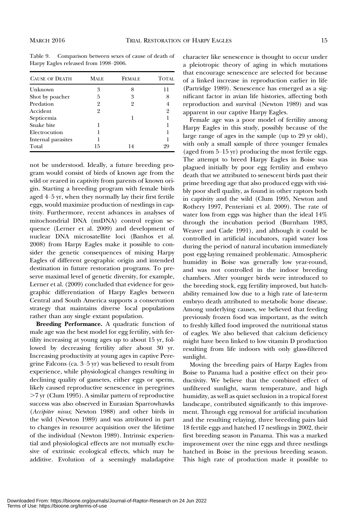| Traily eagles released from 1990-2000. |             |               |       |  |  |  |
|----------------------------------------|-------------|---------------|-------|--|--|--|
| <b>CAUSE OF DEATH</b>                  | <b>MALE</b> | <b>FEMALE</b> | TOTAL |  |  |  |
| Unknown                                | 3           | 8             | 11    |  |  |  |
| Shot by poacher                        | 5           | 3             |       |  |  |  |
| Predation                              | 2           | 2             |       |  |  |  |
| Accident                               | 2           |               | 2     |  |  |  |
| Septicemia                             |             |               |       |  |  |  |
| Snake bite                             |             |               |       |  |  |  |
| Electrocution                          |             |               |       |  |  |  |

Internal parasites 1 1 Total 15 14 29

Table 9. Comparison between sexes of cause of death of Harpy Eagles released from 1998–2006.

not be understood. Ideally, a future breeding program would consist of birds of known age from the wild or reared in captivity from parents of known origin. Starting a breeding program with female birds aged 4–5 yr, when they normally lay their first fertile eggs, would maximize production of nestlings in captivity. Furthermore, recent advances in analyses of mitochondrial DNA (mtDNA) control region se‐ quence (Lerner et al. 2009) and development of nuclear DNA microsatellite loci (Banhos et al. 2008) from Harpy Eagles make it possible to consider the genetic consequences of mixing Harpy Eagles of different geographic origin and intended destination in future restoration programs. To preserve maximal level of genetic diversity, for example, Lerner et al. (2009) concluded that evidence for geographic differentiation of Harpy Eagles between Central and South America supports a conservation strategy that maintains diverse local populations rather than any single extant population.

Breeding Performance. A quadratic function of male age was the best model for egg fertility, with fertility increasing at young ages up to about 15 yr, followed by decreasing fertility after about 30 yr. Increasing productivity at young ages in captive Peregrine Falcons (ca. 3–5 yr) was believed to result from experience, while physiological changes resulting in declining quality of gametes, either eggs or sperm, likely caused reproductive senescence in peregrines .7 yr (Clum 1995). A similar pattern of reproductive success was also observed in Eurasian Sparrowhawks (Accipiter nisus; Newton 1988) and other birds in the wild (Newton 1989) and was attributed in part to changes in resource acquisition over the lifetime of the individual (Newton 1989). Intrinsic experiential and physiological effects are not mutually exclusive of extrinsic ecological effects, which may be additive. Evolution of a seemingly maladaptive character like senescence is thought to occur under a pleiotropic theory of aging in which mutations that encourage senescence are selected for because of a linked increase in reproduction earlier in life (Partridge 1989). Senescence has emerged as a significant factor in avian life histories, affecting both reproduction and survival (Newton 1989) and was apparent in our captive Harpy Eagles.

Female age was a poor model of fertility among Harpy Eagles in this study, possibly because of the large range of ages in the sample (up to 29 yr old), with only a small sample of three younger females (aged from 5–15 yr) producing the most fertile eggs. The attempt to breed Harpy Eagles in Boise was plagued initially by poor egg fertility and embryo death that we attributed to senescent birds past their prime breeding age that also produced eggs with visibly poor shell quality, as found in other raptors both in captivity and the wild (Clum 1995, Newton and Rothery 1997, Penteriani et al. 2009). The rate of water loss from eggs was higher than the ideal 14% through the incubation period (Burnham 1983, Weaver and Cade 1991), and although it could be controlled in artificial incubators, rapid water loss during the period of natural incubation immediately post egg-laying remained problematic. Atmospheric humidity in Boise was generally low year-round, and was not controlled in the indoor breeding chambers. After younger birds were introduced to the breeding stock, egg fertility improved, but hatchability remained low due to a high rate of late-term embryo death attributed to metabolic bone disease. Among underlying causes, we believed that feeding previously frozen food was important, as the switch to freshly killed food improved the nutritional status of eagles. We also believed that calcium deficiency might have been linked to low vitamin D production resulting from life indoors with only glass-filtered sunlight.

Moving the breeding pairs of Harpy Eagles from Boise to Panama had a positive effect on their productivity. We believe that the combined effect of unfiltered sunlight, warm temperature, and high humidity, as well as quiet seclusion in a tropical forest landscape, contributed significantly to this improvement. Through egg removal for artificial incubation and the resulting relaying, three breeding pairs laid 18 fertile eggs and hatched 17 nestlings in 2002, their first breeding season in Panama. This was a marked improvement over the nine eggs and three nestlings hatched in Boise in the previous breeding season. This high rate of production made it possible to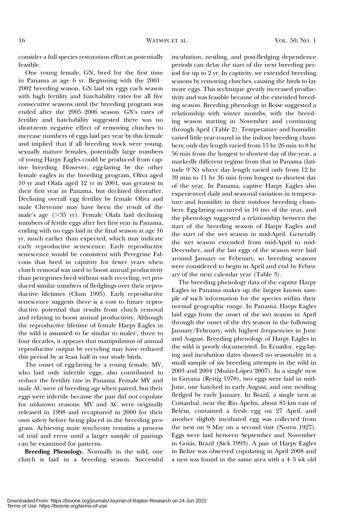consider a full species restoration effort as potentially feasible.

One young female, GN, bred for the first time in Panama at age 6 yr. Beginning with the 2001– 2002 breeding season, GN laid six eggs each season with high fertility and hatchability rates for all five consecutive seasons until the breeding program was ended after the 2005–2006 season. GN's rates of fertility and hatchability suggested there was no short-term negative effect of removing clutches to increase numbers of eggs laid per year by this female and implied that if all breeding stock were young, sexually mature females, potentially large numbers of young Harpy Eagles could be produced from captive breeding. However, egg-laying by the other female eagles in the breeding program, Oliva aged 10 yr and Olafa aged 12 yr in 2001, was greatest in their first year in Panama, but declined thereafter. Declining overall egg fertility by female Oliva and male Cheyenne may have been the result of the male's age  $(>35 \text{ yr})$ . Female Olafa laid declining numbers of fertile eggs after her first year in Panama, ending with no eggs laid in the final season at age 16 yr, much earlier than expected, which may indicate early reproductive senescence. Early reproductive senescence would be consistent with Peregrine Falcons that bred in captivity for fewer years when clutch removal was used to boost annual productivity than peregrines bred without such recycling, yet produced similar numbers of fledglings over their reproductive lifetimes (Clum 1995). Early reproductive senescence suggests there is a cost to future reproductive potential that results from clutch removal and relaying to boost annual productivity. Although the reproductive lifetime of female Harpy Eagles in the wild is assumed to be similar to males', three to four decades, it appears that manipulation of annual reproductive output by recycling may have reduced this period by at least half in our study birds.

The onset of egg-laying by a young female, MV, who laid only infertile eggs, also contributed to reduce the fertility rate in Panama. Female MV and male AC were of breeding age when paired, but their eggs were infertile because the pair did not copulate for unknown reasons. MV and AC were originally released in 1998 and recaptured in 2000 for their own safety before being placed in the breeding program. Achieving mate synchrony remains a process of trial and error until a larger sample of pairings can be examined for patterns.

Breeding Phenology. Normally in the wild, one clutch is laid in a breeding season. Successful incubation, nestling, and post-fledging dependence periods can delay the start of the next breeding period for up to 2 yr. In captivity, we extended breeding seasons by removing clutches, causing the birds to lay more eggs. This technique greatly increased productivity and was feasible because of the extended breeding season. Breeding phenology in Boise suggested a relationship with winter months, with the breed‐ ing season starting in November and continuing through April (Table 2). Temperature and humidity varied little year-round in the indoor breeding chambers; only day length varied from 15 hr 26 min to 8 hr 56 min from the longest to shortest day of the year, a markedly different regime from that in Panama (latitude  $9°N$ ) where day length varied only from 12 hr 39 min to 11 hr 36 min from longest to shortest day of the year. In Panama, captive Harpy Eagles also experienced daily and seasonal variation in temperature and humidity in their outdoor breeding chambers. Egg-laying occurred in 10 mo of the year, and the phenology suggested a relationship between the start of the breeding season of Harpy Eagles and the start of the wet season in mid-April. Generally the wet season extended from mid-April to mid-December, and the last eggs of the season were laid around January or February, so breeding seasons were considered to begin in April and end by February of the next calendar year (Table 3).

The breeding phenology data of the captive Harpy Eagles in Panama makes up the largest known sample of such information for the species within their normal geographic range. In Panama, Harpy Eagles laid eggs from the onset of the wet season in April through the onset of the dry season in the following January/February, with highest frequencies in June and August. Breeding phenology of Harpy Eagles in the wild is poorly documented. In Ecuador, egg-laying and incubation dates showed no seasonality in a small sample of six breeding attempts in the wild in 2003 and 2004 (Muñiz-López 2007). In a single nest in Guyana (Rettig 1978), two eggs were laid in mid-June, one hatched in early August, and one nestling fledged by early January. In Brazil, a single nest at Costanhal, near the Rio Apehu, about 85 km east of Belém, contained a fresh egg on 27 April, and another slightly incubated egg was collected from the nest on 9 May on a second visit (Norris 1927). Eggs were laid between September and November in Goiás, Brazil (Sick 1993). A pair of Harpy Eagles in Belize was observed copulating in April 2008 and a nest was found in the same area with a 4–5 wk old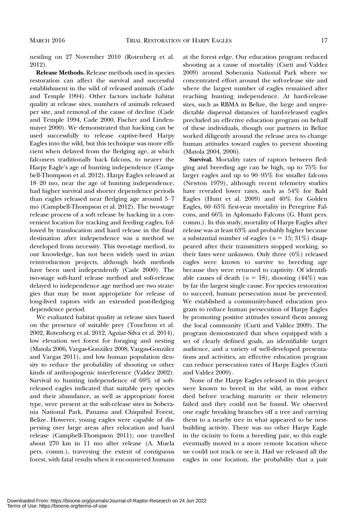nestling on 27 November 2010 (Rotenberg et al. 2012).

Release Methods. Release methods used in species restoration can affect the survival and successful establishment in the wild of released animals (Cade and Temple 1994). Other factors include habitat quality at release sites, numbers of animals released per site, and removal of the cause of decline (Cade and Temple 1994, Cade 2000, Fischer and Lindenmayer 2000). We demonstrated that hacking can be used successfully to release captive-bred Harpy Eagles into the wild, but this technique was more efficient when delayed from the fledging age, at which falconers traditionally hack falcons, to nearer the Harpy Eagle's age of hunting independence (Campbell-Thompson et al. 2012). Harpy Eagles released at 18–20 mo, near the age of hunting independence, had higher survival and shorter dependence periods than eagles released near fledging age around 5–7 mo (Campbell-Thompson et al. 2012). The two-stage release process of a soft release by hacking in a convenient location for tracking and feeding eagles, followed by translocation and hard release in the final destination after independence was a method we developed from necessity. This two-stage method, to our knowledge, has not been widely used in avian reintroduction projects, although both methods have been used independently (Cade 2000). The two-stage soft-hard release method and soft-release delayed to independence age method are two strategies that may be most appropriate for release of long-lived raptors with an extended post-fledging dependence period.

We evaluated habitat quality at release sites based on the presence of suitable prey (Touchton et al. 2002, Rotenberg et al. 2012, Aguiar-Silva et al. 2014), low elevation wet forest for foraging and nesting (Matola 2006, Vargas-González 2008, Vargas-González and Vargas 2011), and low human population density to reduce the probability of shooting or other kinds of anthropogenic interference (Valdez 2002). Survival to hunting independence of 69% of softreleased eagles indicated that suitable prey species and their abundance, as well as appropriate forest type, were present at the soft-release sites in Soberania National Park, Panama and Chiquibul Forest, Belize. However, young eagles were capable of dispersing over large areas after relocation and hard release (Campbell-Thompson 2011); one travelled about 270 km in 11 mo after release (A. Muela pers. comm.), traversing the extent of contiguous forest, with fatal results when it encountered humans at the forest edge. Our education program reduced shooting as a cause of mortality (Curti and Valdez 2009) around Soberania National Park where we concentrated effort around the soft-release site and where the largest number of eagles remained after reaching hunting independence. At hard-release sites, such as RBMA in Belize, the large and unpredictable dispersal distances of hard-released eagles precluded an effective education program on behalf of these individuals, though our partners in Belize worked diligently around the release area to change human attitudes toward eagles to prevent shooting (Matola 2004, 2006).

Survival. Mortality rates of raptors between fledging and breeding age can be high, up to 75% for larger eagles and up to 90–95% for smaller falcons (Newton 1979), although recent telemetry studies have revealed lower rates, such as 54% for Bald Eagles (Hunt et al. 2009) and 40% for Golden Eagles, 60–65% first-year mortality in Peregrine Falcons, and 66% in Aplomado Falcons (G. Hunt pers. comm.). In this study, mortality of Harpy Eagles after release was at least 63% and probably higher because a substantial number of eagles ( $n = 15; 31\%$ ) disappeared after their transmitters stopped working, so their fates were unknown. Only three (6%) released eagles were known to survive to breeding age because they were returned to captivity. Of identifiable causes of death  $(n = 18)$ , shooting  $(44%)$  was by far the largest single cause. For species restoration to succeed, human persecution must be prevented. We established a community-based education program to reduce human persecution of Harpy Eagles by promoting positive attitudes toward them among the local community (Curti and Valdez 2009). The program demonstrated that when equipped with a set of clearly defined goals, an identifiable target audience, and a variety of well-developed presentations and activities, an effective education program can reduce persecution rates of Harpy Eagles (Curti and Valdez 2009).

None of the Harpy Eagles released in this project were known to breed in the wild, as most either died before reaching maturity or their telemetry failed and they could not be found. We observed one eagle breaking branches off a tree and carrying them to a nearby tree in what appeared to be nestbuilding activity. There was no other Harpy Eagle in the vicinity to form a breeding pair, so this eagle eventually moved to a more remote location where we could not track or see it. Had we released all the eagles in one location, the probability that a pair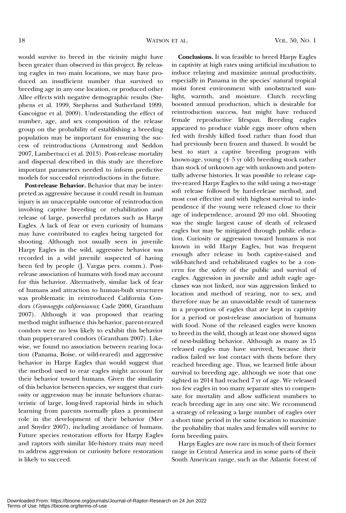would survive to breed in the vicinity might have been greater than observed in this project. By releasing eagles in two main locations, we may have produced an insufficient number that survived to breeding age in any one location, or produced other Allee effects with negative demographic results (Stephens et al. 1999, Stephens and Sutherland 1999, Gascoigne et al. 2009). Understanding the effect of number, age, and sex composition of the release group on the probability of establishing a breeding population may be important for ensuring the success of reintroductions (Armstrong and Seddon 2007, Lambertucci et al. 2013). Post-release mortality and dispersal described in this study are therefore important parameters needed to inform predictive models for successful reintroductions in the future.

Post-release Behavior. Behavior that may be interpreted as aggressive because it could result in human injury is an unacceptable outcome of reintroduction involving captive breeding or rehabilitation and release of large, powerful predators such as Harpy Eagles. A lack of fear or even curiosity of humans may have contributed to eagles being targeted for shooting. Although not usually seen in juvenile Harpy Eagles in the wild, aggressive behavior was recorded in a wild juvenile suspected of having been fed by people (J. Vargas pers. comm.). Postrelease association of humans with food may account for this behavior. Alternatively, similar lack of fear of humans and attraction to human-built structures was problematic in reintroduced California Con‐ dors (Gymnogyps californianus; Cade 2000, Grantham 2007). Although it was proposed that rearing method might influence this behavior, parent-reared condors were no less likely to exhibit this behavior than puppet-reared condors (Grantham 2007). Likewise, we found no association between rearing location (Panama, Boise, or wild-reared) and aggressive behavior in Harpy Eagles that would suggest that the method used to rear eagles might account for their behavior toward humans. Given the similarity of this behavior between species, we suggest that curiosity or aggression may be innate behaviors characteristic of large, long-lived raptorial birds in which learning from parents normally plays a prominent role in the development of their behavior (Mee and Snyder 2007), including avoidance of humans. Future species restoration efforts for Harpy Eagles and raptors with similar life-history traits may need to address aggression or curiosity before restoration is likely to succeed.

Conclusions. It was feasible to breed Harpy Eagles in captivity at high rates using artificial incubation to induce relaying and maximize annual productivity, especially in Panama in the species' natural tropical moist forest environment with unobstructed sunlight, warmth, and moisture. Clutch recycling boosted annual production, which is desirable for reintroduction success, but might have reduced female reproductive lifespan. Breeding eagles appeared to produce viable eggs more often when fed with freshly killed food rather than food that had previously been frozen and thawed. It would be best to start a captive breeding program with known-age, young (4–5 yr old) breeding stock rather than stock of unknown age with unknown and potentially adverse histories. It was possible to release captive-reared Harpy Eagles to the wild using a two-stage soft release followed by hard-release method, and most cost effective and with highest survival to independence if the young were released close to their age of independence, around 20 mo old. Shooting was the single largest cause of death of released eagles but may be mitigated through public education. Curiosity or aggression toward humans is not known in wild Harpy Eagles, but was frequent enough after release in both captive-raised and wild-hatched and rehabilitated eagles to be a concern for the safety of the public and survival of eagles. Aggression in juvenile and adult eagle ageclasses was not linked, nor was aggression linked to location and method of rearing, nor to sex, and therefore may be an unavoidable result of tameness in a proportion of eagles that are kept in captivity for a period or post-release association of humans with food. None of the released eagles were known to breed in the wild, though at least one showed signs of nest-building behavior. Although as many as 15 released eagles may have survived, because their radios failed we lost contact with them before they reached breeding age. Thus, we learned little about survival to breeding age, although we note that one sighted in 2014 had reached 7 yr of age. We released too few eagles in too many separate sites to compensate for mortality and allow sufficient numbers to reach breeding age in any one site. We recommend a strategy of releasing a large number of eagles over a short time period in the same location to maximize the probability that males and females will survive to form breeding pairs.

Harpy Eagles are now rare in much of their former range in Central America and in some parts of their South American range, such as the Atlantic forest of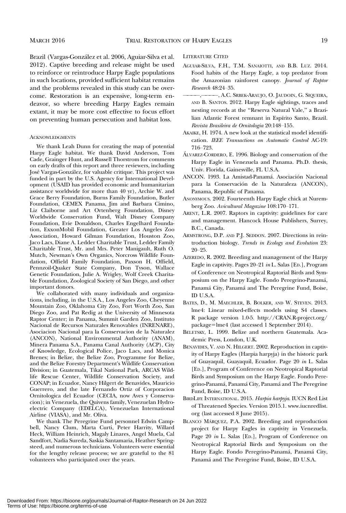Brazil (Vargas-González et al. 2006, Aguiar-Silva et al. 2012). Captive breeding and release might be used to reinforce or reintroduce Harpy Eagle populations in such locations, provided sufficient habitat remains and the problems revealed in this study can be overcome. Restoration is an expensive, long-term en‐ deavor, so where breeding Harpy Eagles remain extant, it may be more cost effective to focus effort on preventing human persecution and habitat loss.

#### ACKNOWLEDGMENTS

We thank Leah Dunn for creating the map of potential Harpy Eagle habitat. We thank David Anderson, Tom Cade, Grainger Hunt, and Russell Thorstrom for comments on early drafts of this report and three reviewers, including José Vargas-González, for valuable critique. This project was funded in part by the U.S. Agency for International Development (USAID has provided economic and humanitarian assistance worldwide for more than 40 yr), Archie W. and Grace Berry Foundation, Burns Family Foundation, Butler Foundation, CEMEX Panama, Jim and Barbara Cimino, Liz Claiborne and Art Ortenberg Foundation, Disney Worldwide Conservation Fund, Walt Disney Company Foundation, Evie Donaldson, Charles Engelhard Foundation, ExxonMobil Foundation, Greater Los Angeles Zoo Association, Howard Gilman Foundation, Houston Zoo, Jaco Lacs, Diane A. Ledder Charitable Trust, Ledder Family Charitable Trust, Mr. and Mrs. Peter Manigault, Ruth O. Mutch, Newman's Own Organics, Norcross Wildlife Foundation, Offield Family Foundation, Paxson H. Offield, Pennzoil-Quaker State Company, Don Tyson, Wallace Genetic Foundation, Julie A. Wrigley, Wolf Creek Charitable Foundation, Zoological Society of San Diego, and other important donors.

We collaborated with many individuals and organizations, including, in the U.S.A., Los Angeles Zoo, Cheyenne Mountain Zoo, Oklahoma City Zoo, Fort Worth Zoo, San Diego Zoo, and Pat Redig at the University of Minnesota Raptor Center; in Panama, Summit Garden Zoo, Instituto Nacional de Recursos Naturales Renovables (INRENARE), Asociacion Nacional para la Conservacion de la Naturalez (ANCON), National Environmental Authority (ANAM), Minera Panama S.A., Panama Canal Authority (ACP), City of Knowledge, Ecological Police, Jaco Lacs, and Monica Brenes; in Belize, the Belize Zoo, Programme for Belize, and the Belize Forestry Department's Wildlife Conservation Division; in Guatemala, Tikal National Park, ARCAS Wildlife Rescue Center, Wildlife Conservation Society, and CONAP; in Ecuador, Nancy Hilgert de Benavides, Mauricio Guerrero, and the late Fernando Ortiz of Corporacion Ornitologica del Ecuador (CECIA, now Aves y Conservacion); in Venezuela, the Quivens family, Venezuelan Hydroelectric Company (EDELCA), Venezuelan International Airline (VIASA), and Mr. Oliva.

We thank The Peregrine Fund personnel Edwin Campbell, Nancy Clum, Marta Curti, Peter Harrity, Willard Heck, William Heinrich, Magaly Linares, Angel Muela, Cal Sandfort, Nadia Sureda, Saskia Santamaria, Heather Springsteed, and numerous technicians. Volunteers were essential for the lengthy release process; we are grateful to the 81 volunteers who participated over the years.

LITERATURE CITED

- AGUIAR-SILVA, F.H., T.M. SANAIOTTI, AND B.B. LUZ. 2014. Food habits of the Harpy Eagle, a top predator from the Amazonian rainforest canopy. Journal of Raptor Research 48:24–35.
- ————,————, A.C. SRBEK-ARAUJO, O. JAUDOIN, G. SIQUEIRA, AND B. SANTOS. 2012. Harpy Eagle sightings, traces and nesting records at the "Reserva Natural Vale," a Brazilian Atlantic Forest remnant in Espírito Santo, Brazil. Revista Brasileira de Ornitologia 20:148–155.
- AKAIKE, H. 1974. A new look at the statistical model identification. IEEE Transactions on Automatic Control AC-19: 716–723.
- ÁLVAREZ-CORDERO, E. 1996. Biology and conservation of the Harpy Eagle in Venezuela and Panama. Ph.D. thesis, Univ. Florida, Gainesville, FL U.S.A.
- ANCON. 1993. La Amistad-Panamá. Asociación Nacional para la Conservación de la Naturaleza (ANCON), Panama, Republic of Panama.
- ANONYMOUS. 2002. Fourteenth Harpy Eagle chick at Nuremberg Zoo. Avicultural Magazine 108:170–171.
- ARENT, L.R. 2007. Raptors in captivity: guidelines for care and management. Hancock House Publishers, Surrey, B.C., Canada.
- ARMSTRONG, D.P. AND P.J. SEDDON. 2007. Directions in reintroduction biology. Trends in Ecology and Evolution 23: 20–25.
- AZEREDO, R. 2002. Breeding and management of the Harpy Eagle in captivity. Pages 20–21 in L. Salas [ED.], Program of Conference on Neotropical Raptorial Birds and Symposium on the Harpy Eagle. Fondo Peregrino-Panamá, Panamá City, Panamá and The Peregrine Fund, Boise, ID U.S.A.
- BATES, D., M. MAECHLER, B. BOLKER, AND W. STEVEN. 2013. lme4: Linear mixed-effects models using S4 classes. R package version 1.0-5. http://CRAN.R-project.org/ package=lme4 (last accessed 1 September 2014).
- BELETSKY, L. 1999. Belize and northern Guatemala. Academic Press, London, U.K.
- BENAVIDES, V. AND N. HILGERT. 2002. Reproduction in captivity of Harpy Eagles (Harpia harpyja) in the historic park of Guayaquil, Guayaquil, Ecuador. Page 20 in L. Salas [ED.], Program of Conference on Neotropical Raptorial Birds and Symposium on the Harpy Eagle. Fondo Peregrino-Panamá, Panamá City, Panamá and The Peregrine Fund, Boise, ID U.S.A.
- BIRDLIFE INTERNATIONAL. 2015. Harpia harpyja. IUCN Red List of Threatened Species. Version 2015.1. www.iucnredlist. org (last accessed 8 June 2015).
- BLANCO MÁRQUEZ, P.A. 2002. Breeding and reproduction project for Harpy Eagles in captivity in Venezuela. Page 20 in L. Salas [ED.], Program of Conference on Neotropical Raptorial Birds and Symposium on the Harpy Eagle. Fondo Peregrino-Panamá, Panamá City, Panamá and The Peregrine Fund, Boise, ID U.S.A.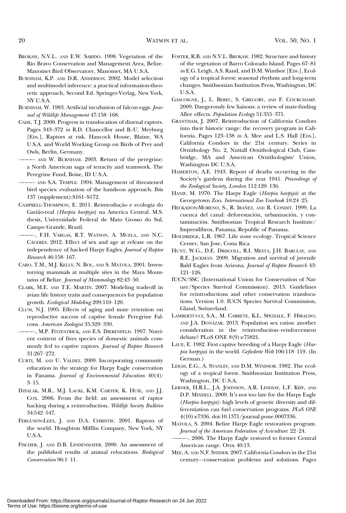- BROKAW, N.V.L. AND E.W. SABIDO. 1998. Vegetation of the Rio Bravo Conservation and Management Area, Belize. Manomet Bird Observatory, Manomet, MA U.S.A.
- BURNHAM, K.P. AND D.R. ANDERSON. 2002. Model selection and multimodel inference: a practical information-theoretic approach, Second Ed. Springer-Verlag, New York, NY U.S.A.
- BURNHAM, W. 1983. Artificial incubation of falcon eggs. Journal of Wildlife Management 47:158–168.
- CADE, T.J. 2000. Progress in translocation of diurnal raptors. Pages 343–372 in R.D. Chancellor and B.-U. Meyburg [EDS.], Raptors at risk. Hancock House, Blaine, WA U.S.A. and World Working Group on Birds of Prey and Owls, Berlin, Germany.
	- ———— AND W. BURNHAM. 2003. Return of the peregrine: a North American saga of tenacity and teamwork. The Peregrine Fund, Boise, ID U.S.A.
- ———— AND S.A. TEMPLE. 1994. Management of threatened bird species: evaluation of the hands-on approach. Ibis 137 (supplement):S161–S172.
- CAMPBELL-THOMPSON, E. 2011. Reintrodução e ecologia do Gavião-real (Harpia harpyja) na America Central. M.S. thesis, Universidade Federal de Mato Grosso do Sul, Campo Grande, Brazil.
- ————, F.H. VARGAS, R.T. WATSON, A. MUELA, AND N.C. CÁCERES. 2012. Effect of sex and age at release on the independence of hacked Harpy Eagles. Journal of Raptor Research 46:158–167.
- CARO, T.M., M.J. KELLY, N. BOL, AND S. MATOLA. 2001. Inventorying mammals at multiple sites in the Maya Mountains of Belize. Journal of Mammalogy 82:43–50.
- CLARK, M.E. AND T.E. MARTIN. 2007. Modeling tradeoff in avian life history traits and consequences for population growth. Ecological Modeling 209:110–120.
- CLUM, N.J. 1995. Effects of aging and mate retention on reproductive success of captive female Peregrine Falcons. American Zoologist 35:329–339.
- ————, M.P. FITZPATRICK, AND E.S. DIERENFELD. 1997. Nutrient content of fives species of domestic animals commonly fed to captive raptors. Journal of Raptor Research 31:267–272.
- CURTI, M. AND U. VALDEZ. 2009. Incorporating community education in the strategy for Harpy Eagle conservation in Panama. Journal of Environmental Education 40(4): 3–15.
- DZIALAK, M.R., M.J. LACKI, K.M. CARTER, K. HUIE, AND J.J. COX. 2006. From the field: an assessment of raptor hacking during a reintroduction. Wildlife Society Bulletin 34:542–547.
- FERGUSON-LEES, J. AND D.A. CHRISTIE. 2001. Raptors of the world. Houghton Mifflin Company, New York, NY U.S.A.
- FISCHER, J. AND D.B. LINDENMAYER. 2000. An assessment of the published results of animal relocations. Biological Conservation 96:1–11.
- FOSTER, R.B. AND N.V.L. BROKAW. 1982. Structure and history of the vegetation of Barro Colorado Island. Pages 67–81 in E.G. Leigh, A.S. Rand, and D.M. Windsor [EDS.], Ecology of a tropical forest: seasonal rhythms and long-term changes. Smithsonian Institution Press, Washington, DC U.S.A.
- GASCOIGNE, J., L. BEREC, S. GREGORY, AND F. COURCHAMP. 2009. Dangerously few liaisons: a review of mate-finding Allee effects. Population Ecology 51:355-371.
- GRANTHAM, J. 2007. Reintroduction of California Condors into their historic range: the recovery program in California. Pages 123-138 in A. Mee and L.S. Hall [EDS.], California Condors in the 21st century. Series in Ornithology No. 2, Nuttall Ornithological Club, Cambridge, MA and American Ornithologists' Union, Washington DC U.S.A.
- HAMERTON, A.E. 1943. Report of deaths occurring in the Society's gardens during the year 1941. Proceedings of the Zoological Society, London 112:120–136.
- HANIF, M. 1970. The Harpy Eagle (Harpia harpyja) at the Georgetown Zoo. International Zoo Yearbook 10:24–25.
- HECKADON-MORENO, S., R. IBAÑEZ, AND R. CONDIT. 1999. La cuenca del canal: deforestación, urbanización, y contaminación. Smithsonian Tropical Research Institute/ Impresilibros, Panama, Republic of Panama.
- HOLDRIDGE, L.R. 1967. Life zone ecology. Tropical Science Center, San Jose, Costa Rica.
- HUNT, W.G., D.E. DRISCOLL, R.I. MESTA, J.H. BARCLAY, AND R.E. JACKMAN. 2009. Migration and survival of juvenile Bald Eagles from Arizona. Journal of Raptor Research 43: 121–126.
- IUCN/SSC (International Union for Conservation of Nature/Species Survival Commission). 2013. Guidelines for reintroductions and other conservation translocations. Version 1.0. IUCN Species Survival Commission, Gland, Switzerland.
- LAMBERTUCCI, S.A., M. CARRETE, K.L. SPEZIALE, F. HIRALDO, AND J.A. DONÁZAR. 2013. Population sex ratios: another consideration in the reintroduction–reinforcement debate? PLoS ONE 8(9):e75821.
- LAUE, E. 1982. First captive breeding of a Harpy Eagle (Harpia harpyja) in the world. Gefiederte Welt 106:118–119. (In German.)
- LEIGH, E.G., A. STANLEY, AND D.M. WINDSOR. 1982. The ecology of a tropical forest. Smithsonian Institution Press, Washington, DC U.S.A.
- LERNER, H.R.L., J.A. JOHNSON, A.R. LINDSAY, L.F. KIFF, AND D.P. MINDELL. 2009. It's not too late for the Harpy Eagle (Harpia harpyja): high levels of genetic diversity and differentiation can fuel conservation programs. PLoS ONE 4(10):e7336. doi:10.1371/journal.pone.0007336.
- MATOLA, S. 2004. Belize Harpy Eagle restoration program. Journal of the American Federation of Aviculture: 22–24.
- -. 2006. The Harpy Eagle restored to former Central American range. Oryx 40:13.
- MEE, A. AND N.F. SNYDER. 2007. California Condors in the 21st century—conservation problems and solutions. Pages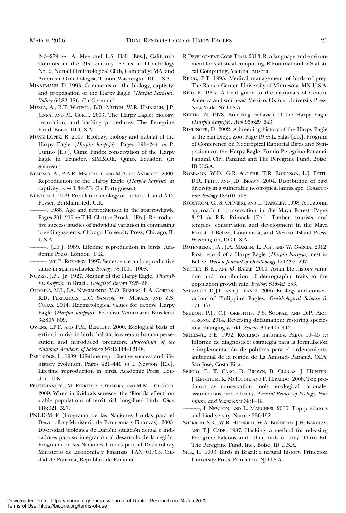243–279 in A. Mee and L.S. Hall [EDS.], California Condors in the 21st century. Series in Ornithology No. 2, Nuttall Ornithological Club, Cambridge MA, and AmericanOrnithologists'Union,Washington DCU.S.A.

- MINNEMANN, D. 1993. Comments on the biology, captivity, and propagation of the Harpy Eagle (Harpia harpyja). Voliere 6:182–186. (In German.)
- MUELA, A., R.T. WATSON, B.D. MUTCH, W.R. HEINRICH, J.P. JENNY, AND M. CURTI. 2003. The Harpy Eagle: biology, restoration, and hacking procedures. The Peregrine Fund, Boise, ID U.S.A.
- MUÑIZ-LÓPEZ, R. 2007. Ecology, biology and habitat of the Harpy Eagle (Harpia harpyja). Pages 191–244 in P. Tufiño [ED.], Cunsi Pindo: conservation of the Harpy Eagle in Ecuador. SIMBIOE, Quito, Ecuador. (In Spanish.)
- NEMESIO, A., P.A.R. MACHADO, AND M.A. DE ANDRADE. 2000. Reproduction of the Harpy Eagle (Harpia harpyja) in captivity. Aves 1:34–35. (In Portuguese.)
- NEWTON, I. 1979. Population ecology of raptors. T. and A.D. Poyser, Berkhamsted, U.K.
- ————. 1988. Age and reproduction in the sparrowhawk. Pages 201-219 in T.H. Clutton-Brock, [ED.], Reproductive success: studies of individual variation in contrasting breeding systems. Chicago University Press, Chicago, IL U.S.A.
- ————. [ED.]. 1989. Lifetime reproduction in birds. Academic Press, London, U.K.
- ———— AND P. ROTHERY. 1997. Senescence and reproductive value in sparrowhawks. Ecology 78:1000–1008.
- NORRIS, J.P., JR. 1927. Nesting of the Harpy Eagle, Thrasaëtus harpyia, in Brazil. Oologists' Record 7:25–26.
- OLIVEIRA, M.J., I.A. NASCIMENTO, V.O. RIBEIRO, L.A. CORTES, R.D. FERNANDES, L.C. SANTOS, W. MORAES, AND Z.S. CUBAS. 2014. Haematological values for captive Harpy Eagle (Harpia harpyja). Pesquisa Veterinaria Brasileira 34:805–809.
- OWENS, I.P.F. AND P.M. BENNETT. 2000. Ecological basis of extinction risk in birds: habitat loss versus human persecution and introduced predators. Proceedings of the National Academy of Sciences 97:12144–12148.
- PARTRIDGE, L. 1989. Lifetime reproductive success and lifehistory evolution. Pages  $421-440$  in I. Newton [ED.], Lifetime reproduction in birds. Academic Press, London, U.K.
- PENTERIANI, V., M. FERRER, F. OTALORA, AND M.M. DELGADO. 2009. When individuals senesce: the 'Florida effect' on stable populations of territorial, long-lived birds. Oikos 118:321–327.
- PNUD-MEF (Programa de las Naciones Unidas para el Desarrollo y Ministerio de Economía y Finanzas). 2003. Diversidad biológica de Darién: situación actual e indicadores para su integración al desarrollo de la región. Programa de las Naciones Unidas para el Desarrollo y Ministerio de Economía y Finanzas, PAN/01/03. Ciudad de Panamá, República de Panamá.
- R DEVELOPMENT CORE TEAM. 2013. R: a language and environment for statistical computing. R Foundation for Statistical Computing, Vienna, Austria.
- REDIG, P.T. 1993. Medical management of birds of prey. The Raptor Center, University of Minnesota, MN U.S.A.
- REID, F. 1997. A field guide to the mammals of Central America and southeast Mexico. Oxford University Press, New York, NY U.S.A.
- RETTIG, N. 1978. Breeding behavior of the Harpy Eagle (Harpia harpyja). Auk 95:629–643.
- RIMLINGER, D. 2002. A breeding history of the Harpy Eagle at the San Diego Zoo. Page 19 in L. Salas [ED.], Program of Conference on Neotropical Raptorial Birds and Symposium on the Harpy Eagle. Fondo Peregrino-Panamá, Panamá City, Panamá and The Peregrine Fund, Boise, ID U.S.A.
- ROBINSON, W.D., G.R. ANGEHR, T.R. ROBINSON, L.J. PETIT, D.R. PETIT, AND J.D. BRAWN. 2004. Distribution of bird diversity in a vulnerable neotropical landscape. Conservation Biology 18:510–518.
- RODSTROM, C., S. OLIVIERI, AND L. TANGLEY. 1998. A regional approach to conservation in the Maya Forest. Pages 3–21 in R.B. Primack [ED.], Timber, tourists, and temples: conservation and development in the Maya Forest of Belize, Guatemala, and Mexico. Island Press, Washington, DC U.S.A.
- ROTENBERG, J.A., J.A. MARLIN, L. POP, AND W. GARCIA. 2012. First record of a Harpy Eagle (Harpia harpyja) nest in Belize. Wilson Journal of Ornithology 124:292–297.
- SÆTHER, B.-E., AND Ø. BAKKE. 2000. Avian life history variation and contribution of demographic traits to the population growth rate. Ecology 81:642-653.
- SALVADOR, D.J.I., AND J. IBANEZ. 2006. Ecology and conservation of Philippine Eagles. Ornithological Science 5: 171–176.
- SEDDON, P.J., C.J. GRIFFITHS, P.S. SOORAE, AND D.P. ARM-STRONG. 2014. Reversing defaunation: restoring species in a changing world. Science 345:406-412.
- SELLES-A., F.E. 1992. Recursos naturales. Pages 10–45 in Informe de diagnóstico: estrategia para la formulación e implementación de políticas para el ordenamiento ambiental de la región de La Amistad- Panamá. OEA, San José, Costa Rica.
- SERGIO, F., T. CARO, D. BROWN, B. CLUCAS, J. HUNTER, J. KETCHUM, K. MCHUGH, AND F. HIRALDO. 2008. Top predators as conservation tools: ecological rationale, assumptions, and efficacy. Annual Review of Ecology, Evolution, and Systematics 39:1–19.
- ————, I. NEWTON, AND L. MARCHESI. 2005. Top predators and biodiversity. Nature 236:192.
- SHERROD, S.K., W.R. HEINRICH, W.A. BURNHAM, J.H. BARCLAY, AND T.J. CADE. 1987. Hacking: a method for releasing Peregrine Falcons and other birds of prey, Third Ed. The Peregrine Fund, Inc., Boise, ID U.S.A.
- SICK, H. 1993. Birds in Brazil: a natural history. Princeton University Press, Princeton, NJ U.S.A.